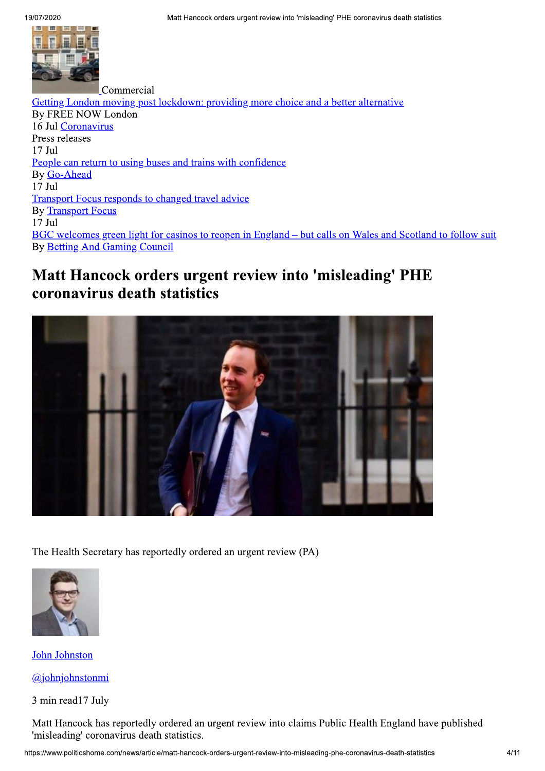

Commercial Getting London moving post lockdown: providing more choice and a better alternative By FREE NOW London 16 Jul Coronavirus Press releases  $17$  Jul People can return to using buses and trains with confidence By Go-Ahead  $17$  Jul **Transport Focus responds to changed travel advice By Transport Focus**  $17$  Jul BGC welcomes green light for casinos to reopen in England – but calls on Wales and Scotland to follow suit **By Betting And Gaming Council** 

# Matt Hancock orders urgent review into 'misleading' PHE coronavirus death statistics



The Health Secretary has reportedly ordered an urgent review (PA)



John Johnston

 $(a)$ johnjohnstonmi

3 min read17 July

Matt Hancock has reportedly ordered an urgent review into claims Public Health England have published 'misleading' coronavirus death statistics.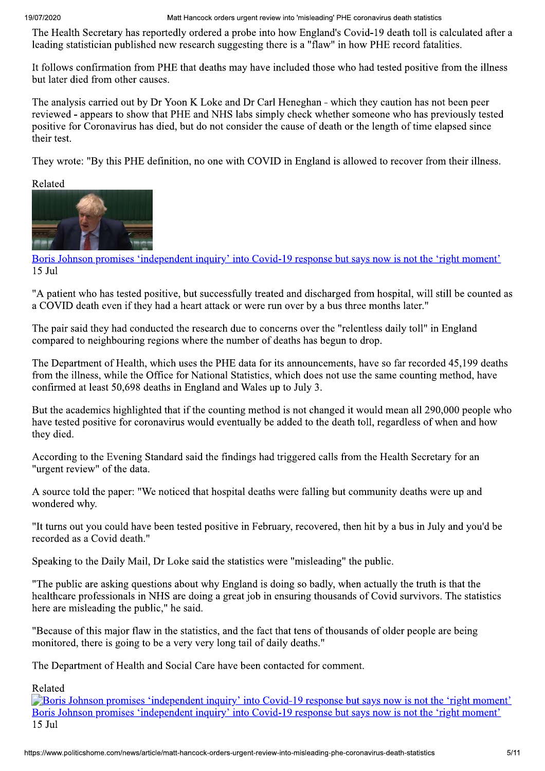Matt Hancock orders urgent review into 'misleading' PHE coronavirus death statistics

The Health Secretary has reportedly ordered a probe into how England's Covid-19 death toll is calculated after a leading statistician published new research suggesting there is a "flaw" in how PHE record fatalities.

It follows confirmation from PHE that deaths may have included those who had tested positive from the illness but later died from other causes.

The analysis carried out by Dr Yoon K Loke and Dr Carl Heneghan - which they caution has not been peer reviewed - appears to show that PHE and NHS labs simply check whether someone who has previously tested positive for Coronavirus has died, but do not consider the cause of death or the length of time elapsed since their test.

They wrote: "By this PHE definition, no one with COVID in England is allowed to recover from their illness.

Related



Boris Johnson promises 'independent inquiry' into Covid-19 response but says now is not the 'right moment'  $15$  Jul

"A patient who has tested positive, but successfully treated and discharged from hospital, will still be counted as a COVID death even if they had a heart attack or were run over by a bus three months later."

The pair said they had conducted the research due to concerns over the "relentless daily toll" in England compared to neighbouring regions where the number of deaths has begun to drop.

The Department of Health, which uses the PHE data for its announcements, have so far recorded 45,199 deaths from the illness, while the Office for National Statistics, which does not use the same counting method, have confirmed at least 50,698 deaths in England and Wales up to July 3.

But the academics highlighted that if the counting method is not changed it would mean all 290,000 people who have tested positive for coronavirus would eventually be added to the death toll, regardless of when and how they died.

According to the Evening Standard said the findings had triggered calls from the Health Secretary for an "urgent review" of the data.

A source told the paper: "We noticed that hospital deaths were falling but community deaths were up and wondered why.

"It turns out you could have been tested positive in February, recovered, then hit by a bus in July and you'd be recorded as a Covid death."

Speaking to the Daily Mail, Dr Loke said the statistics were "misleading" the public.

"The public are asking questions about why England is doing so badly, when actually the truth is that the healthcare professionals in NHS are doing a great job in ensuring thousands of Covid survivors. The statistics here are misleading the public," he said.

"Because of this major flaw in the statistics, and the fact that tens of thousands of older people are being monitored, there is going to be a very very long tail of daily deaths."

The Department of Health and Social Care have been contacted for comment.

Related

**Example 19** Boris Johnson promises 'independent inquiry' into Covid-19 response but says now is not the 'right moment' Boris Johnson promises 'independent inquiry' into Covid-19 response but says now is not the 'right moment'  $15$  Jul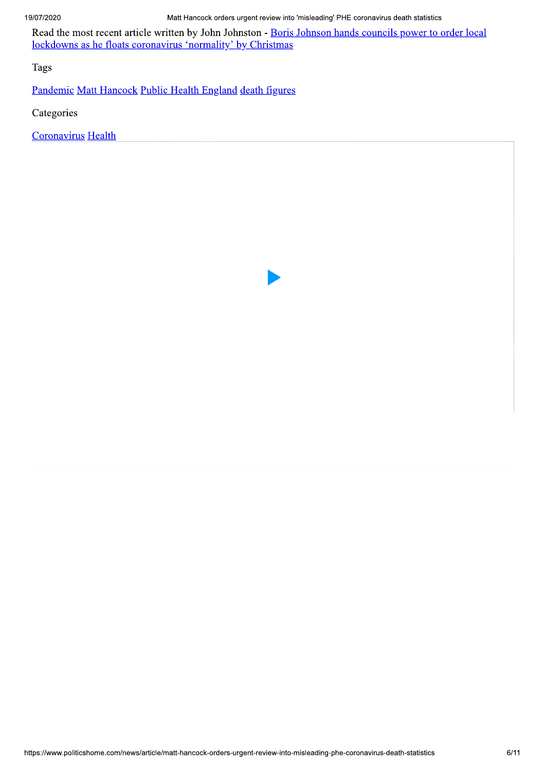Read the most recent article written by John Johnston - Boris Johnson hands councils power to order local lockdowns as he floats coronavirus 'normality' by Christmas

**Tags** 

Pandemic Matt Hancock Public Health England death figures

Categories

Coronavirus Health

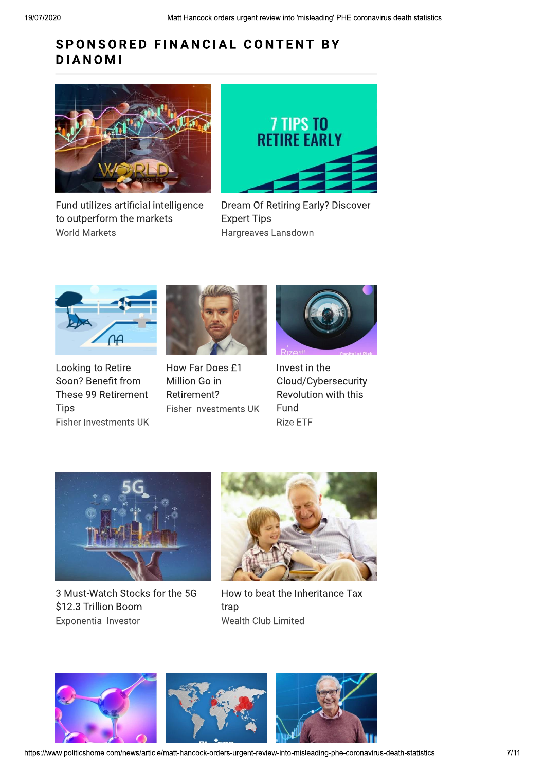# SPONSORED FINANCIAL CONTENT BY **DIANOMI**



Fund utilizes artificial intelligence to outperform the markets **World Markets** 



Dream Of Retiring Early? Discover **Expert Tips** Hargreaves Lansdown



Looking to Retire Soon? Benefit from These 99 Retirement Tips Fisher Investments UK



How Far Does £1 Million Go in Retirement? **Fisher Investments UK** 



Invest in the Cloud/Cybersecurity Revolution with this Fund **Rize ETF** 



3 Must-Watch Stocks for the 5G \$12.3 Trillion Boom **Exponential Investor** 



How to beat the Inheritance Tax trap Wealth Club Limited

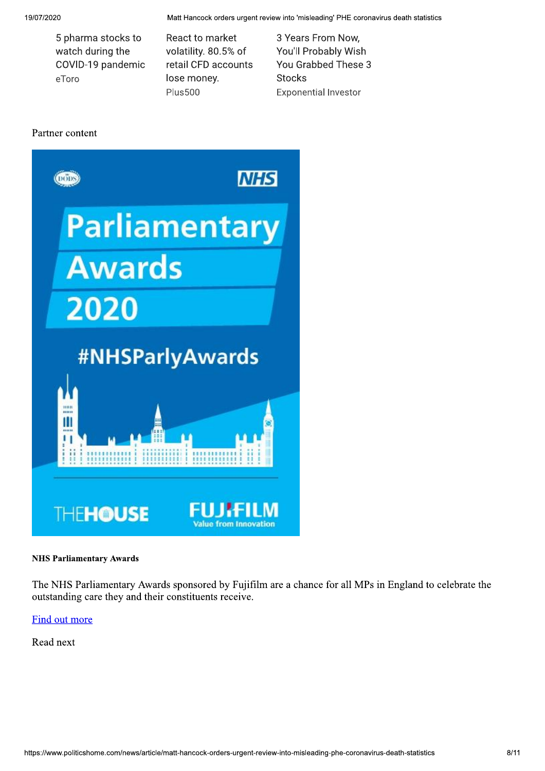Matt Hancock orders urgent review into 'misleading' PHE coronavirus death statistics

5 pharma stocks to watch during the COVID-19 pandemic eToro

React to market volatility. 80.5% of retail CFD accounts lose money. **Plus500** 

3 Years From Now, You'll Probably Wish You Grabbed These 3 **Stocks Exponential Investor** 

## Partner content



#### **NHS Parliamentary Awards**

The NHS Parliamentary Awards sponsored by Fujifilm are a chance for all MPs in England to celebrate the outstanding care they and their constituents receive.

Find out more

Read next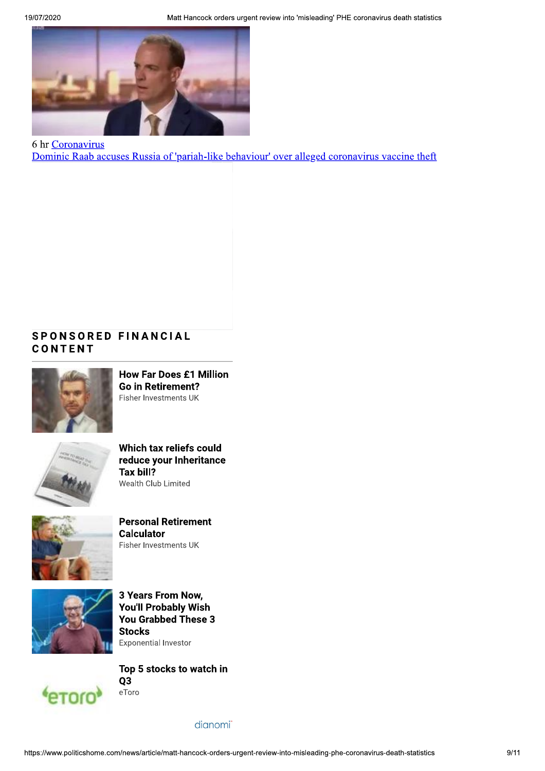

6 hr Coronavirus Dominic Raab accuses Russia of 'pariah-like behaviour' over alleged coronavirus vaccine theft

# **SPONSORED FINANCIAL** CONTENT



**How Far Does £1 Million Go in Retirement?** Fisher Investments UK



Which tax reliefs could reduce your Inheritance Tax bill? Wealth Club Limited



**Personal Retirement Calculator** Fisher Investments UK



3 Years From Now, **You'll Probably Wish** You Grabbed These 3 **Stocks Exponential Investor** 



Top 5 stocks to watch in Q<sub>3</sub> eToro

dianomi<sup>"</sup>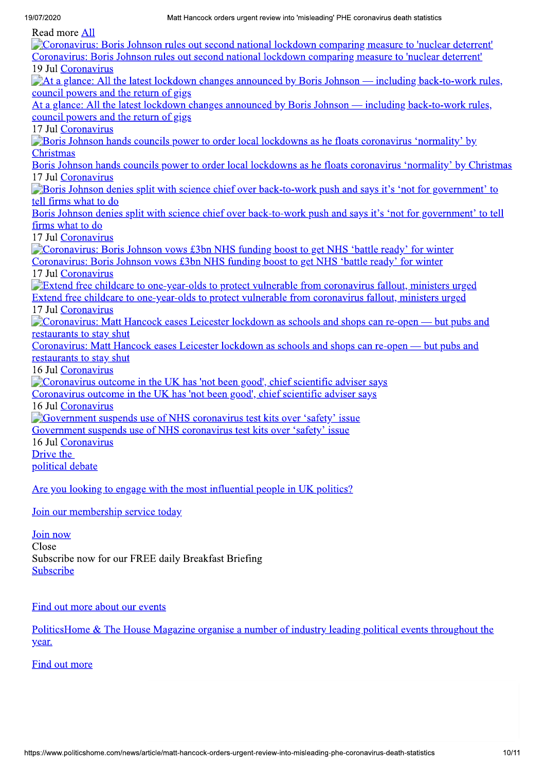19/07/2020

Read more All

| <b>Neau</b> more All                                                                                             |
|------------------------------------------------------------------------------------------------------------------|
| Coronavirus: Boris Johnson rules out second national lockdown comparing measure to 'nuclear deterrent'           |
| Coronavirus: Boris Johnson rules out second national lockdown comparing measure to 'nuclear deterrent'           |
| 19 Jul Coronavirus                                                                                               |
| <b>That a glance:</b> All the latest lockdown changes announced by Boris Johnson — including back-to-work rules, |
| council powers and the return of gigs                                                                            |
| At a glance: All the latest lockdown changes announced by Boris Johnson — including back-to-work rules,          |
| council powers and the return of gigs                                                                            |
| 17 Jul Coronavirus                                                                                               |
| <b>Boris Johnson hands councils power to order local lockdowns as he floats coronavirus 'normality' by</b>       |
| <b>Christmas</b>                                                                                                 |
| Boris Johnson hands councils power to order local lockdowns as he floats coronavirus 'normality' by Christmas    |
| 17 Jul Coronavirus                                                                                               |
| Boris Johnson denies split with science chief over back-to-work push and says it's 'not for government' to       |
| tell firms what to do                                                                                            |
| Boris Johnson denies split with science chief over back-to-work push and says it's 'not for government' to tell  |
| firms what to do                                                                                                 |
| 17 Jul Coronavirus                                                                                               |
| Coronavirus: Boris Johnson vows £3bn NHS funding boost to get NHS 'battle ready' for winter                      |
| Coronavirus: Boris Johnson vows £3bn NHS funding boost to get NHS 'battle ready' for winter                      |
| 17 Jul Coronavirus                                                                                               |
| Extend free childcare to one-year-olds to protect vulnerable from coronavirus fallout, ministers urged           |
| Extend free childcare to one-year-olds to protect vulnerable from coronavirus fallout, ministers urged           |
| 17 Jul Coronavirus                                                                                               |
| Coronavirus: Matt Hancock eases Leicester lockdown as schools and shops can re-open — but pubs and               |
| restaurants to stay shut                                                                                         |
| Coronavirus: Matt Hancock eases Leicester lockdown as schools and shops can re-open — but pubs and               |
| restaurants to stay shut                                                                                         |
| 16 Jul Coronavirus                                                                                               |
| Coronavirus outcome in the UK has 'not been good', chief scientific adviser says                                 |
| Coronavirus outcome in the UK has 'not been good', chief scientific adviser says                                 |
| 16 Jul Coronavirus                                                                                               |
| <b>Government suspends use of NHS coronavirus test kits over 'safety' issue</b>                                  |
| Government suspends use of NHS coronavirus test kits over 'safety' issue                                         |
| 16 Jul Coronavirus                                                                                               |
| Drive the                                                                                                        |
| political debate                                                                                                 |
| Are you looking to engage with the most influential people in UK politics?                                       |

Join our membership service today

Join now

Close Subscribe now for our FREE daily Breakfast Briefing Subscribe

Find out more about our events

PoliticsHome & The House Magazine organise a number of industry leading political events throughout the year.

**Find out more**